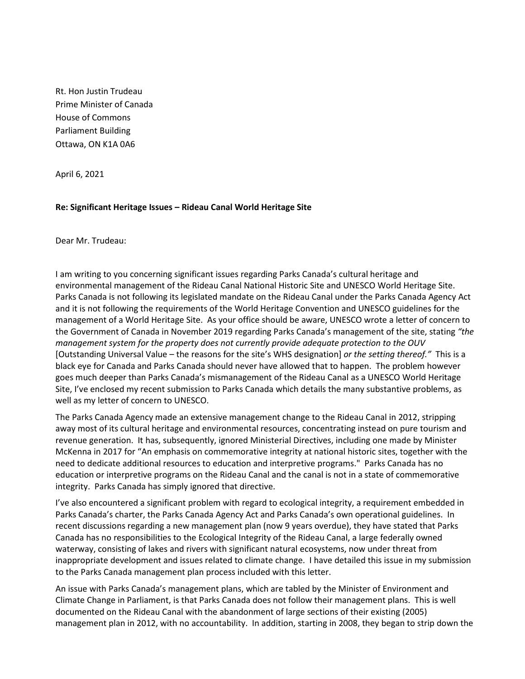Rt. Hon Justin Trudeau Prime Minister of Canada House of Commons Parliament Building Ottawa, ON K1A 0A6

April 6, 2021

## **Re: Significant Heritage Issues – Rideau Canal World Heritage Site**

Dear Mr. Trudeau:

I am writing to you concerning significant issues regarding Parks Canada's cultural heritage and environmental management of the Rideau Canal National Historic Site and UNESCO World Heritage Site. Parks Canada is not following its legislated mandate on the Rideau Canal under the Parks Canada Agency Act and it is not following the requirements of the World Heritage Convention and UNESCO guidelines for the management of a World Heritage Site. As your office should be aware, UNESCO wrote a letter of concern to the Government of Canada in November 2019 regarding Parks Canada's management of the site, stating *"the management system for the property does not currently provide adequate protection to the OUV*  [Outstanding Universal Value – the reasons for the site's WHS designation] *or the setting thereof."* This is a black eye for Canada and Parks Canada should never have allowed that to happen. The problem however goes much deeper than Parks Canada's mismanagement of the Rideau Canal as a UNESCO World Heritage Site, I've enclosed my recent submission to Parks Canada which details the many substantive problems, as well as my letter of concern to UNESCO.

The Parks Canada Agency made an extensive management change to the Rideau Canal in 2012, stripping away most of its cultural heritage and environmental resources, concentrating instead on pure tourism and revenue generation. It has, subsequently, ignored Ministerial Directives, including one made by Minister McKenna in 2017 for "An emphasis on commemorative integrity at national historic sites, together with the need to dedicate additional resources to education and interpretive programs." Parks Canada has no education or interpretive programs on the Rideau Canal and the canal is not in a state of commemorative integrity. Parks Canada has simply ignored that directive.

I've also encountered a significant problem with regard to ecological integrity, a requirement embedded in Parks Canada's charter, the Parks Canada Agency Act and Parks Canada's own operational guidelines. In recent discussions regarding a new management plan (now 9 years overdue), they have stated that Parks Canada has no responsibilities to the Ecological Integrity of the Rideau Canal, a large federally owned waterway, consisting of lakes and rivers with significant natural ecosystems, now under threat from inappropriate development and issues related to climate change. I have detailed this issue in my submission to the Parks Canada management plan process included with this letter.

An issue with Parks Canada's management plans, which are tabled by the Minister of Environment and Climate Change in Parliament, is that Parks Canada does not follow their management plans. This is well documented on the Rideau Canal with the abandonment of large sections of their existing (2005) management plan in 2012, with no accountability. In addition, starting in 2008, they began to strip down the